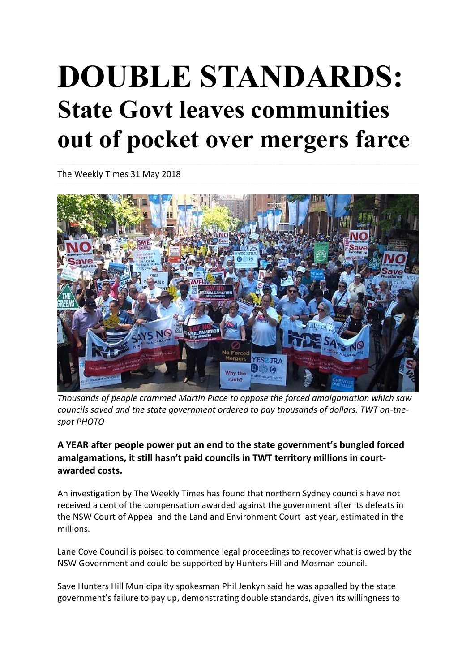## **DOUBLE STANDARDS: State Govt leaves communities out of pocket over mergers farce**

The Weekly Times 31 May 2018



*Thousands of people crammed Martin Place to oppose the forced amalgamation which saw councils saved and the state government ordered to pay thousands of dollars. TWT on-thespot PHOTO*

## **A YEAR after people power put an end to the state government's bungled forced amalgamations, it still hasn't paid councils in TWT territory millions in courtawarded costs.**

An investigation by The Weekly Times has found that northern Sydney councils have not received a cent of the compensation awarded against the government after its defeats in the NSW Court of Appeal and the Land and Environment Court last year, estimated in the millions.

Lane Cove Council is poised to commence legal proceedings to recover what is owed by the NSW Government and could be supported by Hunters Hill and Mosman council.

Save Hunters Hill Municipality spokesman Phil Jenkyn said he was appalled by the state government's failure to pay up, demonstrating double standards, given its willingness to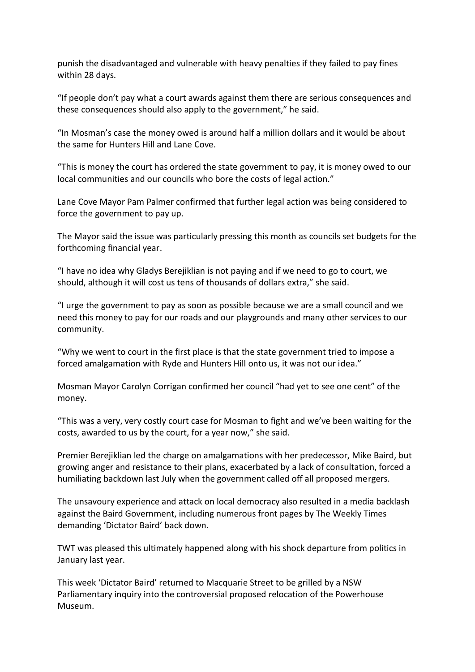punish the disadvantaged and vulnerable with heavy penalties if they failed to pay fines within 28 days.

"If people don't pay what a court awards against them there are serious consequences and these consequences should also apply to the government," he said.

"In Mosman's case the money owed is around half a million dollars and it would be about the same for Hunters Hill and Lane Cove.

"This is money the court has ordered the state government to pay, it is money owed to our local communities and our councils who bore the costs of legal action."

Lane Cove Mayor Pam Palmer confirmed that further legal action was being considered to force the government to pay up.

The Mayor said the issue was particularly pressing this month as councils set budgets for the forthcoming financial year.

"I have no idea why Gladys Berejiklian is not paying and if we need to go to court, we should, although it will cost us tens of thousands of dollars extra," she said.

"I urge the government to pay as soon as possible because we are a small council and we need this money to pay for our roads and our playgrounds and many other services to our community.

"Why we went to court in the first place is that the state government tried to impose a forced amalgamation with Ryde and Hunters Hill onto us, it was not our idea."

Mosman Mayor Carolyn Corrigan confirmed her council "had yet to see one cent" of the money.

"This was a very, very costly court case for Mosman to fight and we've been waiting for the costs, awarded to us by the court, for a year now," she said.

Premier Berejiklian led the charge on amalgamations with her predecessor, Mike Baird, but growing anger and resistance to their plans, exacerbated by a lack of consultation, forced a humiliating backdown last July when the government called off all proposed mergers.

The unsavoury experience and attack on local democracy also resulted in a media backlash against the Baird Government, including numerous front pages by The Weekly Times demanding 'Dictator Baird' back down.

TWT was pleased this ultimately happened along with his shock departure from politics in January last year.

This week 'Dictator Baird' returned to Macquarie Street to be grilled by a NSW Parliamentary inquiry into the controversial proposed relocation of the Powerhouse Museum.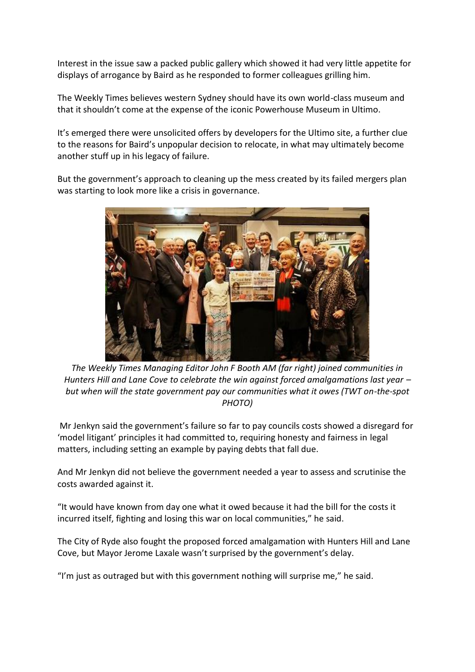Interest in the issue saw a packed public gallery which showed it had very little appetite for displays of arrogance by Baird as he responded to former colleagues grilling him.

The Weekly Times believes western Sydney should have its own world-class museum and that it shouldn't come at the expense of the iconic Powerhouse Museum in Ultimo.

It's emerged there were unsolicited offers by developers for the Ultimo site, a further clue to the reasons for Baird's unpopular decision to relocate, in what may ultimately become another stuff up in his legacy of failure.

But the government's approach to cleaning up the mess created by its failed mergers plan was starting to look more like a crisis in governance.



*The Weekly Times Managing Editor John F Booth AM (far right) joined communities in Hunters Hill and Lane Cove to celebrate the win against forced amalgamations last year – but when will the state government pay our communities what it owes (TWT on-the-spot PHOTO)*

Mr Jenkyn said the government's failure so far to pay councils costs showed a disregard for 'model litigant' principles it had committed to, requiring honesty and fairness in legal matters, including setting an example by paying debts that fall due.

And Mr Jenkyn did not believe the government needed a year to assess and scrutinise the costs awarded against it.

"It would have known from day one what it owed because it had the bill for the costs it incurred itself, fighting and losing this war on local communities," he said.

The City of Ryde also fought the proposed forced amalgamation with Hunters Hill and Lane Cove, but Mayor Jerome Laxale wasn't surprised by the government's delay.

"I'm just as outraged but with this government nothing will surprise me," he said.